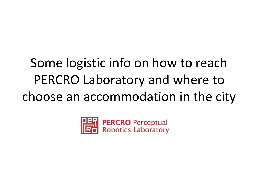# Some logistic info on how to reach PERCRO Laboratory and where to choose an accommodation in the city

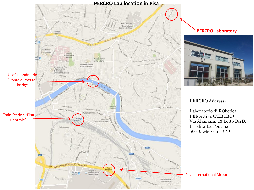

## **PERCRO Laboratory**



### PERCRO Address:

Laboratorio di RObotica PERcettiva (PERCRO) Via Alamanni 13 Lotto D/2B, Località La Fontina 56010 Ghezzano (PI)

#### Pisa International Airport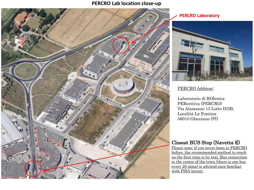## **PERCRO Lab location close-up**



#### **PERCRO Laboratory**



## PERCRO Address:

Laboratorio di RObotica PERcettiva (PERCRO) Via Alamanni 13 Lotto D/2B, Località La Fontina 56010 Ghezzano (PI)

## Closest BUS Stop (Navetta E)

Please note: if you never been to PERCRO before, the recommended method to reach us the first time is by taxi. Bus connection to the centre of the town (there is one bus every 20 mins) is advised once familiar with PISA layout.